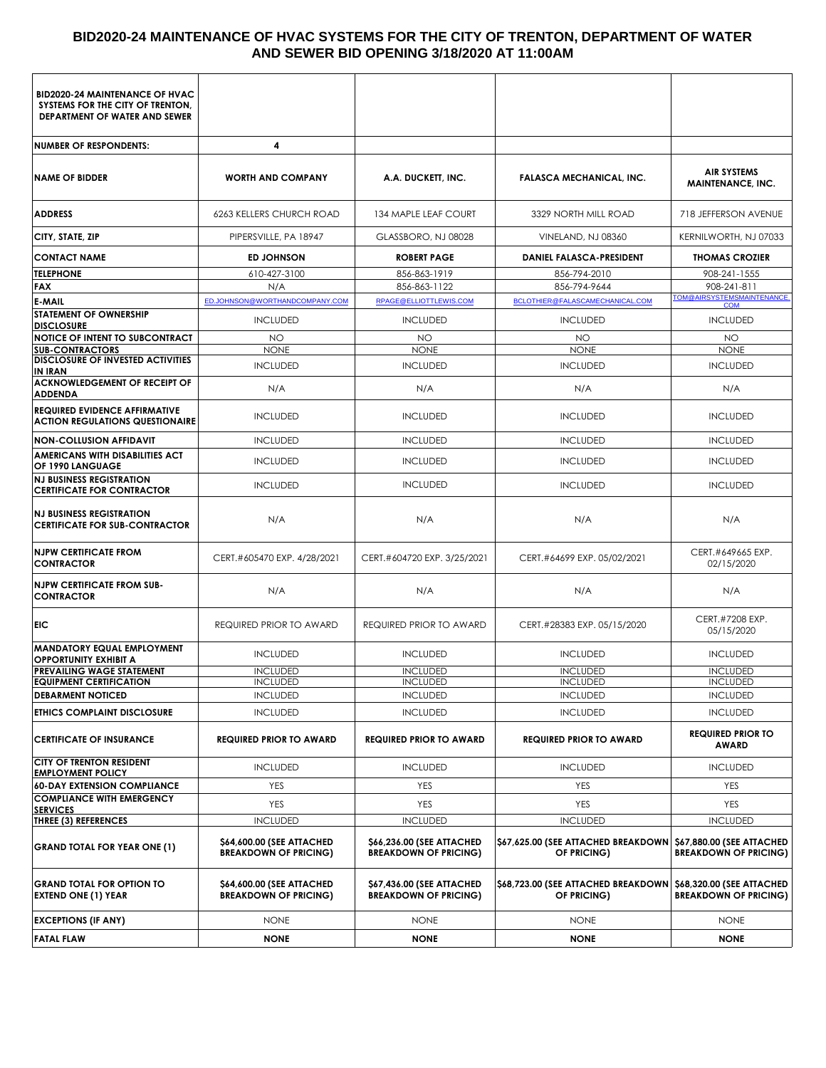# **BID2020-24 MAINTENANCE OF HVAC SYSTEMS FOR THE CITY OF TRENTON, DEPARTMENT OF WATER AND SEWER BID OPENING 3/18/2020 AT 11:00AM**

| <b>BID2020-24 MAINTENANCE OF HVAC</b><br>SYSTEMS FOR THE CITY OF TRENTON,<br>DEPARTMENT OF WATER AND SEWER |                                                           |                                                           |                                                    |                                                           |
|------------------------------------------------------------------------------------------------------------|-----------------------------------------------------------|-----------------------------------------------------------|----------------------------------------------------|-----------------------------------------------------------|
| <b>NUMBER OF RESPONDENTS:</b>                                                                              | 4                                                         |                                                           |                                                    |                                                           |
| <b>NAME OF BIDDER</b>                                                                                      | <b>WORTH AND COMPANY</b>                                  | A.A. DUCKETT, INC.                                        | <b>FALASCA MECHANICAL, INC.</b>                    | <b>AIR SYSTEMS</b><br><b>MAINTENANCE, INC.</b>            |
| <b>ADDRESS</b>                                                                                             | <b>6263 KELLERS CHURCH ROAD</b>                           | 134 MAPLE LEAF COURT                                      | 3329 NORTH MILL ROAD                               | 718 JEFFERSON AVENUE                                      |
| CITY, STATE, ZIP                                                                                           | PIPERSVILLE, PA 18947                                     | GLASSBORO, NJ 08028                                       | VINELAND, NJ 08360                                 | KERNILWORTH, NJ 07033                                     |
| <b>CONTACT NAME</b>                                                                                        | <b>ED JOHNSON</b>                                         | <b>ROBERT PAGE</b>                                        | DANIEL FALASCA-PRESIDENT                           | <b>THOMAS CROZIER</b>                                     |
| <b>TELEPHONE</b>                                                                                           | 610-427-3100                                              | 856-863-1919                                              | 856-794-2010                                       | 908-241-1555                                              |
| <b>FAX</b>                                                                                                 | N/A                                                       | 856-863-1122                                              | 856-794-9644                                       | 908-241-811                                               |
| <b>E-MAIL</b>                                                                                              | ED.JOHNSON@WORTHANDCOMPANY.COM                            | RPAGE@ELLIOTTLEWIS.COM                                    | BCLOTHIER@FALASCAMECHANICAL.COM                    | TOM@AIRSYSTEMSMAINTENANCE.                                |
| STATEMENT OF OWNERSHIP<br><b>DISCLOSURE</b>                                                                | <b>INCLUDED</b>                                           | <b>INCLUDED</b>                                           | <b>INCLUDED</b>                                    | <b>INCLUDED</b>                                           |
| <b>NOTICE OF INTENT TO SUBCONTRACT</b><br><b>SUB-CONTRACTORS</b>                                           | <b>NO</b><br><b>NONE</b>                                  | <b>NO</b><br><b>NONE</b>                                  | <b>NO</b><br><b>NONE</b>                           | <b>NO</b><br><b>NONE</b>                                  |
| <b>DISCLOSURE OF INVESTED ACTIVITIES</b><br><b>IN IRAN</b>                                                 | <b>INCLUDED</b>                                           | <b>INCLUDED</b>                                           | <b>INCLUDED</b>                                    | <b>INCLUDED</b>                                           |
| <b>ACKNOWLEDGEMENT OF RECEIPT OF</b><br><b>ADDENDA</b>                                                     | N/A                                                       | N/A                                                       | N/A                                                | N/A                                                       |
| <b>REQUIRED EVIDENCE AFFIRMATIVE</b><br><b>ACTION REGULATIONS QUESTIONAIRE</b>                             | <b>INCLUDED</b>                                           | <b>INCLUDED</b>                                           | <b>INCLUDED</b>                                    | <b>INCLUDED</b>                                           |
| <b>NON-COLLUSION AFFIDAVIT</b>                                                                             | <b>INCLUDED</b>                                           | <b>INCLUDED</b>                                           | <b>INCLUDED</b>                                    | <b>INCLUDED</b>                                           |
| <b>AMERICANS WITH DISABILITIES ACT</b><br>OF 1990 LANGUAGE                                                 | <b>INCLUDED</b>                                           | <b>INCLUDED</b>                                           | <b>INCLUDED</b>                                    | <b>INCLUDED</b>                                           |
| <b>NJ BUSINESS REGISTRATION</b><br><b>CERTIFICATE FOR CONTRACTOR</b>                                       | <b>INCLUDED</b>                                           | <b>INCLUDED</b>                                           | <b>INCLUDED</b>                                    | <b>INCLUDED</b>                                           |
| <b>NJ BUSINESS REGISTRATION</b><br><b>CERTIFICATE FOR SUB-CONTRACTOR</b>                                   | N/A                                                       | N/A                                                       | N/A                                                | N/A                                                       |
| <b>NJPW CERTIFICATE FROM</b><br><b>CONTRACTOR</b>                                                          | CERT.#605470 EXP. 4/28/2021                               | CERT.#604720 EXP. 3/25/2021                               | CERT.#64699 EXP. 05/02/2021                        | CERT.#649665 EXP.<br>02/15/2020                           |
| <b>NJPW CERTIFICATE FROM SUB-</b><br><b>CONTRACTOR</b>                                                     | N/A                                                       | N/A                                                       | N/A                                                | N/A                                                       |
| <b>EIC</b>                                                                                                 | <b>REQUIRED PRIOR TO AWARD</b>                            | REQUIRED PRIOR TO AWARD                                   | CERT.#28383 EXP. 05/15/2020                        | CERT.#7208 EXP.<br>05/15/2020                             |
| <b>MANDATORY EQUAL EMPLOYMENT</b><br><b>OPPORTUNITY EXHIBIT A</b>                                          | <b>INCLUDED</b>                                           | <b>INCLUDED</b>                                           | <b>INCLUDED</b>                                    | <b>INCLUDED</b>                                           |
| PREVAILING WAGE STATEMENT                                                                                  | <b>INCLUDED</b>                                           | <b>INCLUDED</b>                                           | <b>INCLUDED</b>                                    | <b>INCLUDED</b>                                           |
| <b>EQUIPMENT CERTIFICATION</b><br><b>DEBARMENT NOTICED</b>                                                 | <b>INCLUDED</b><br><b>INCLUDED</b>                        | <b>INCLUDED</b><br><b>INCLUDED</b>                        | <b>INCLUDED</b><br><b>INCLUDED</b>                 | <b>INCLUDED</b><br><b>INCLUDED</b>                        |
| ETHICS COMPLAINT DISCLOSURE                                                                                | <b>INCLUDED</b>                                           | <b>INCLUDED</b>                                           | <b>INCLUDED</b>                                    | <b>INCLUDED</b>                                           |
| <b>CERTIFICATE OF INSURANCE</b>                                                                            | <b>REQUIRED PRIOR TO AWARD</b>                            | <b>REQUIRED PRIOR TO AWARD</b>                            | <b>REQUIRED PRIOR TO AWARD</b>                     | <b>REQUIRED PRIOR TO</b><br><b>AWARD</b>                  |
| <b>CITY OF TRENTON RESIDENT</b>                                                                            | <b>INCLUDED</b>                                           | <b>INCLUDED</b>                                           | <b>INCLUDED</b>                                    | <b>INCLUDED</b>                                           |
| <b>EMPLOYMENT POLICY</b><br><b>60-DAY EXTENSION COMPLIANCE</b>                                             | YES                                                       | <b>YES</b>                                                | YES                                                | <b>YES</b>                                                |
| <b>COMPLIANCE WITH EMERGENCY</b>                                                                           | YES                                                       | <b>YES</b>                                                | <b>YES</b>                                         | <b>YES</b>                                                |
| <b>SERVICES</b>                                                                                            | <b>INCLUDED</b>                                           | <b>INCLUDED</b>                                           | <b>INCLUDED</b>                                    | <b>INCLUDED</b>                                           |
| THREE (3) REFERENCES<br><b>GRAND TOTAL FOR YEAR ONE (1)</b>                                                | \$64,600.00 (SEE ATTACHED<br><b>BREAKDOWN OF PRICING)</b> | \$66,236.00 (SEE ATTACHED<br><b>BREAKDOWN OF PRICING)</b> | \$67,625.00 (SEE ATTACHED BREAKDOWN<br>OF PRICING) | \$67,880.00 (SEE ATTACHED<br><b>BREAKDOWN OF PRICING)</b> |
| <b>GRAND TOTAL FOR OPTION TO</b><br><b>EXTEND ONE (1) YEAR</b>                                             | \$64,600.00 (SEE ATTACHED<br><b>BREAKDOWN OF PRICING)</b> | \$67,436.00 (SEE ATTACHED<br><b>BREAKDOWN OF PRICING)</b> | \$68,723.00 (SEE ATTACHED BREAKDOWN<br>OF PRICING) | \$68,320.00 (SEE ATTACHED<br><b>BREAKDOWN OF PRICING)</b> |
| <b>EXCEPTIONS (IF ANY)</b>                                                                                 | <b>NONE</b>                                               | <b>NONE</b>                                               | <b>NONE</b>                                        | <b>NONE</b>                                               |
| <b>FATAL FLAW</b>                                                                                          | <b>NONE</b>                                               | <b>NONE</b>                                               | <b>NONE</b>                                        | <b>NONE</b>                                               |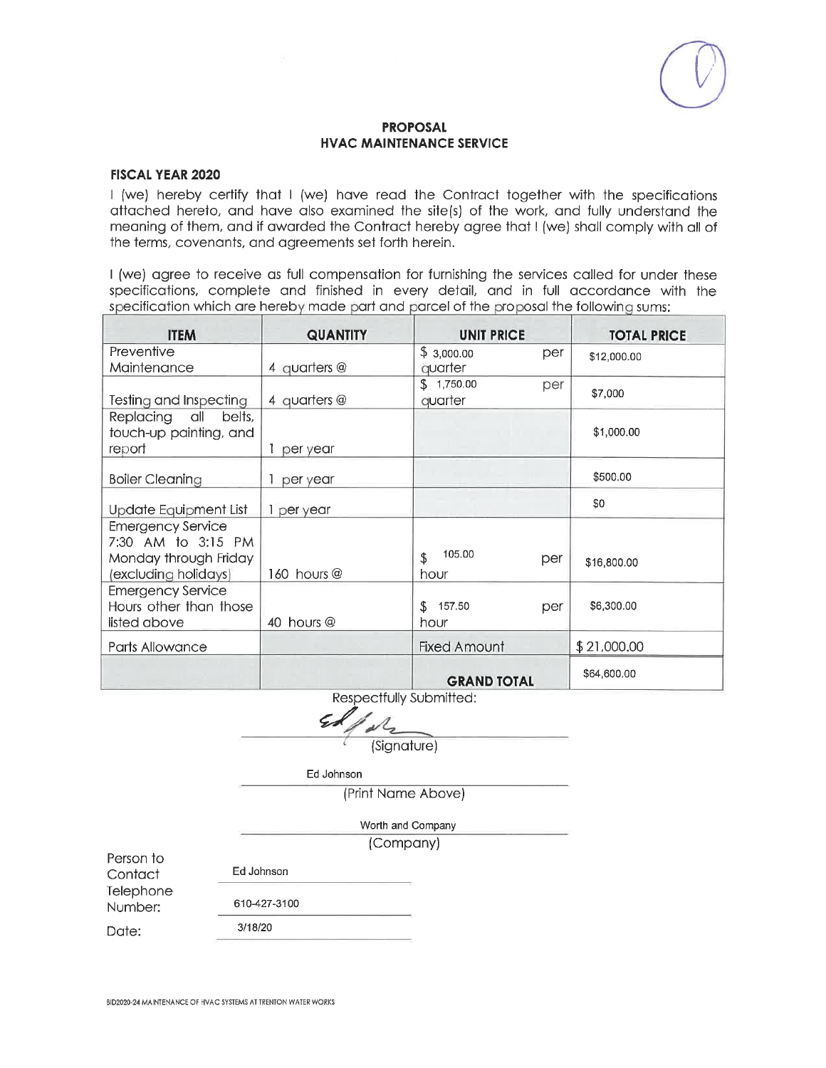## **FISCAL YEAR 2020**

I (we) hereby certify that I (we) have read the Contract together with the specifications attached hereto, and have also examined the site(s) of the work, and fully understand the meaning of them, and if awarded the Contract hereby agree that I (we) shall comply with all of the terms, covenants, and agreements set forth herein.

I (we) agree to receive as full compensation for furnishing the services called for under these specifications, complete and finished in every detail, and in full accordance with the specification which are hereby made part and parcel of the proposal the following sums:

| <b>ITEM</b>                                                                                     | <b>QUANTITY</b> | <b>UNIT PRICE</b>     |     | <b>TOTAL PRICE</b> |
|-------------------------------------------------------------------------------------------------|-----------------|-----------------------|-----|--------------------|
| Preventive<br>Maintenance                                                                       | 4 quarters @    | \$3,000.00<br>quarter | per | \$12,000.00        |
| Testing and Inspecting                                                                          | 4 quarters $@$  | \$1,750.00<br>quarter | per | \$7,000            |
| Replacing all<br>belts,<br>touch-up painting, and<br>report                                     | per year        |                       |     | \$1,000.00         |
| <b>Boiler Cleaning</b>                                                                          | per year        |                       |     | \$500.00           |
| <b>Update Equipment List</b>                                                                    | 1 per year      |                       |     | \$0                |
| <b>Emergency Service</b><br>7:30 AM to 3:15 PM<br>Monday through Friday<br>(excluding holidays) | 160 hours @     | 105.00<br>\$<br>hour  | per | \$16,800.00        |
| <b>Emergency Service</b><br>Hours other than those<br>listed above                              | 40 hours @      | \$157.50<br>hour      | per | \$6,300.00         |
| Parts Allowance                                                                                 |                 | <b>Fixed Amount</b>   |     | \$21,000.00        |
|                                                                                                 |                 | <b>GRAND TOTAL</b>    |     | \$64,600.00        |

Respectfully Submitted:

(Signature)

Ed Johnson

(Print Name Above)

Worth and Company

(Company)

Person to Contact Telephone

Number:

Date:

Ed Johnson

3/18/20

610-427-3100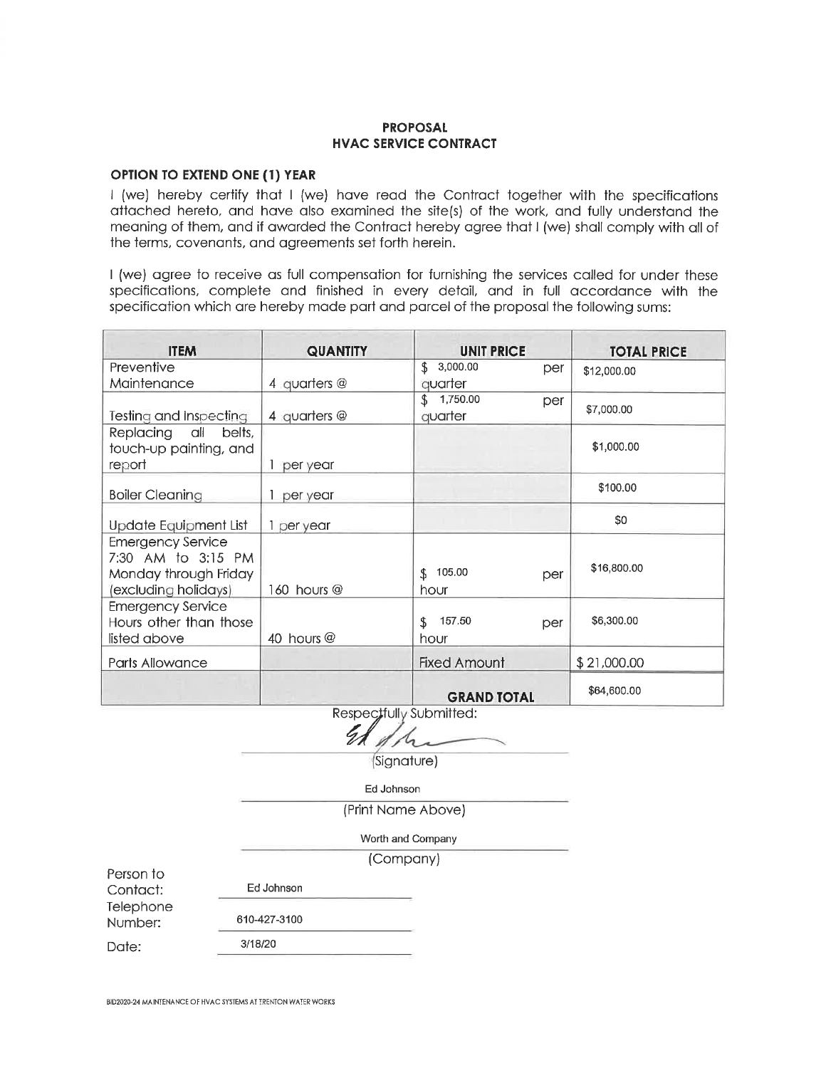## **OPTION TO EXTEND ONE (1) YEAR**

I (we) hereby certify that I (we) have read the Contract together with the specifications attached hereto, and have also examined the site(s) of the work, and fully understand the meaning of them, and if awarded the Contract hereby agree that I (we) shall comply with all of the terms, covenants, and agreements set forth herein.

I (we) agree to receive as full compensation for furnishing the services called for under these specifications, complete and finished in every detail, and in full accordance with the specification which are hereby made part and parcel of the proposal the following sums:

| <b>ITEM</b>              | <b>QUANTITY</b> | <b>UNIT PRICE</b>      |     | <b>TOTAL PRICE</b> |
|--------------------------|-----------------|------------------------|-----|--------------------|
| Preventive               |                 | \$3,000.00             | per | \$12,000.00        |
| Maintenance              | 4 quarters $@$  | quarter                |     |                    |
|                          |                 | \$1,750.00             | per | \$7,000.00         |
| Testing and Inspecting   | 4 quarters $@$  | quarter                |     |                    |
| Replacing all<br>belts,  |                 |                        |     |                    |
| touch-up painting, and   |                 |                        |     | \$1,000.00         |
| report                   | 1 per year      |                        |     |                    |
| <b>Boiler Cleaning</b>   | per year        |                        |     | \$100.00           |
|                          |                 |                        |     |                    |
| Update Equipment List    | 1 per year      |                        |     | \$0                |
| <b>Emergency Service</b> |                 |                        |     |                    |
| 7:30 AM to 3:15 PM       |                 |                        |     | \$16,800.00        |
| Monday through Friday    |                 | 105.00<br>\$.          | per |                    |
| (excluding holidays)     | 160 hours $@$   | hour                   |     |                    |
| <b>Emergency Service</b> |                 |                        |     |                    |
| Hours other than those   |                 | 157.50<br>$\mathbf{S}$ | per | \$6,300.00         |
| listed above             | 40 hours @      | hour                   |     |                    |
| Parts Allowance          |                 | <b>Fixed Amount</b>    |     | \$21,000.00        |
|                          |                 | <b>GRAND TOTAL</b>     |     | \$64,600.00        |

Respectfully Submitted:

(Signature)

Ed Johnson

I i

(Print Name Above)

Worth and Company

(Company)

Person to Contact:

Telephone Number:

Date:

BID2020-24 MAINTENANCE OF HVAC SYSTEMS AT TRENTON WATER WORKS

Ed Johnson

610-427-3100

3/18/20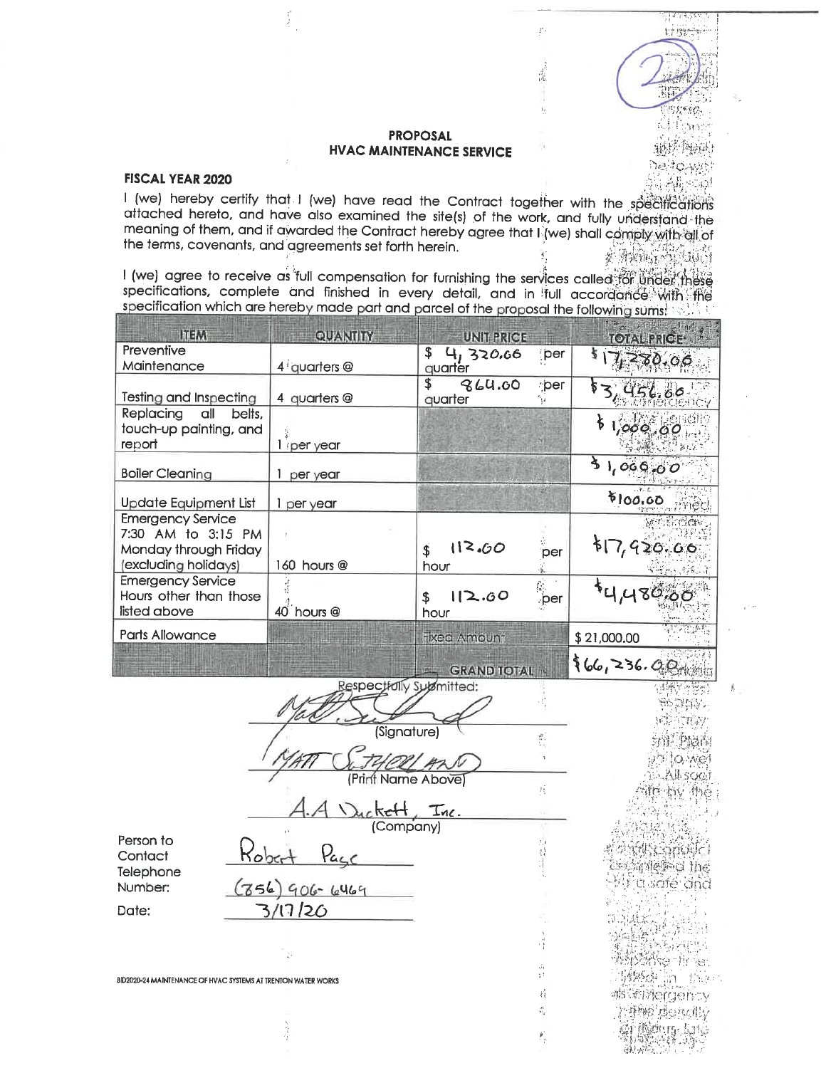्राम्यसम्बद्ध

 $1.7.8424387$ 

35 System

动事 Ne se

anis Maiau

្តី ខ្ញុំរំភ្លៃទះល្ព

Á.

heltdwy

ŗ,

 $\frac{1}{2} \sum_{i=1}^{n} \frac{1}{2} \sum_{i=1}^{n} \frac{1}{2} \sum_{i=1}^{n} \frac{1}{2} \sum_{i=1}^{n} \frac{1}{2} \sum_{i=1}^{n} \frac{1}{2} \sum_{i=1}^{n} \frac{1}{2} \sum_{i=1}^{n} \frac{1}{2} \sum_{i=1}^{n} \frac{1}{2} \sum_{i=1}^{n} \frac{1}{2} \sum_{i=1}^{n} \frac{1}{2} \sum_{i=1}^{n} \frac{1}{2} \sum_{i=1}^{n} \frac{1}{2} \sum_{i=1}^{n$ 

Ä,

## **FISCAL YEAR 2020**

 $\frac{1}{2}$ 

I (we) hereby certify that I (we) have read the Contract together with the specifications attached hereto, and have also examined the site(s) of the work, and fully understand the meaning of them, and if awarded the Contract hereby agree that I (we) shall comply with all of the terms, covenants, and agreements set forth herein. KANA CHALLING

I (we) agree to receive as full compensation for furnishing the services called for under these specifications, complete and finished in every detail, and in full accordance with the specification which are hereby made part and parcel of the proposal the following sums:

| <b>ITEM</b>                                                                                     | QUANTITY                          | <b>UNIT PRICE</b>                     |                  | TOTAL PRICE                               |
|-------------------------------------------------------------------------------------------------|-----------------------------------|---------------------------------------|------------------|-------------------------------------------|
| Preventive<br>Maintenance                                                                       | 4 quarters @                      | $\frac{1}{2}$<br>4, 320.66<br>quarter | :per             | 7,280.06                                  |
| <b>Testing and Inspecting</b>                                                                   | 4 quarters @                      | \$<br>864.00<br>quarter               | per<br>٦ź.       | 56.60                                     |
| Replacing<br>all<br>belts,<br>touch-up painting, and<br>report                                  | 1 per year                        |                                       |                  | 1,000,00                                  |
| <b>Boiler Cleaning</b>                                                                          | 1 per year                        |                                       |                  | 31,000,00                                 |
| <b>Update Equipment List</b>                                                                    | 1 per year                        |                                       |                  | \$100.00                                  |
| <b>Emergency Service</b><br>7:30 AM to 3:15 PM<br>Monday through Friday<br>(excluding holidays) | 160 hours @                       | 112.60<br>\$<br>hour                  | per              | 57,920.00                                 |
| <b>Emergency Service</b><br>Hours other than those<br>listed above                              | 40 <sup>1</sup> hours @           | 12.60<br>\$<br>hour                   | $\hat{C}$<br>per | 44,480,66                                 |
| Parts Allowance                                                                                 |                                   | <b>Fixed Amount</b>                   |                  | \$21,000.00                               |
|                                                                                                 |                                   | <b>GRAND TOTAL 10</b>                 |                  | 66, 236.00                                |
|                                                                                                 | Respectfully Sulamitted:          |                                       |                  |                                           |
|                                                                                                 | (Signature)                       |                                       | 亂                | 10 Wei                                    |
|                                                                                                 | (Print Name Above)                |                                       | 珪                | <b>All soot</b><br>作 松V 协合                |
|                                                                                                 | <u>rickelt, Inc.</u><br>(Company) |                                       |                  |                                           |
| Person to<br>Contact<br>Telephone                                                               | <u>Page</u>                       |                                       | 冷持計              | <b>MAC STAGE CALL</b><br>sosy fletted the |
| Number:<br>Date:                                                                                | $(756)906 - 6469$<br>3/17/20      |                                       |                  | Milid safé ana                            |
|                                                                                                 |                                   |                                       |                  |                                           |
|                                                                                                 |                                   |                                       | 4Ž t<br>şt.      |                                           |
| BID2020-24 MAINTENANCE OF HVAC SYSTEMS AT TRENTON WATER WORKS                                   |                                   |                                       | ij.              |                                           |
|                                                                                                 |                                   |                                       |                  |                                           |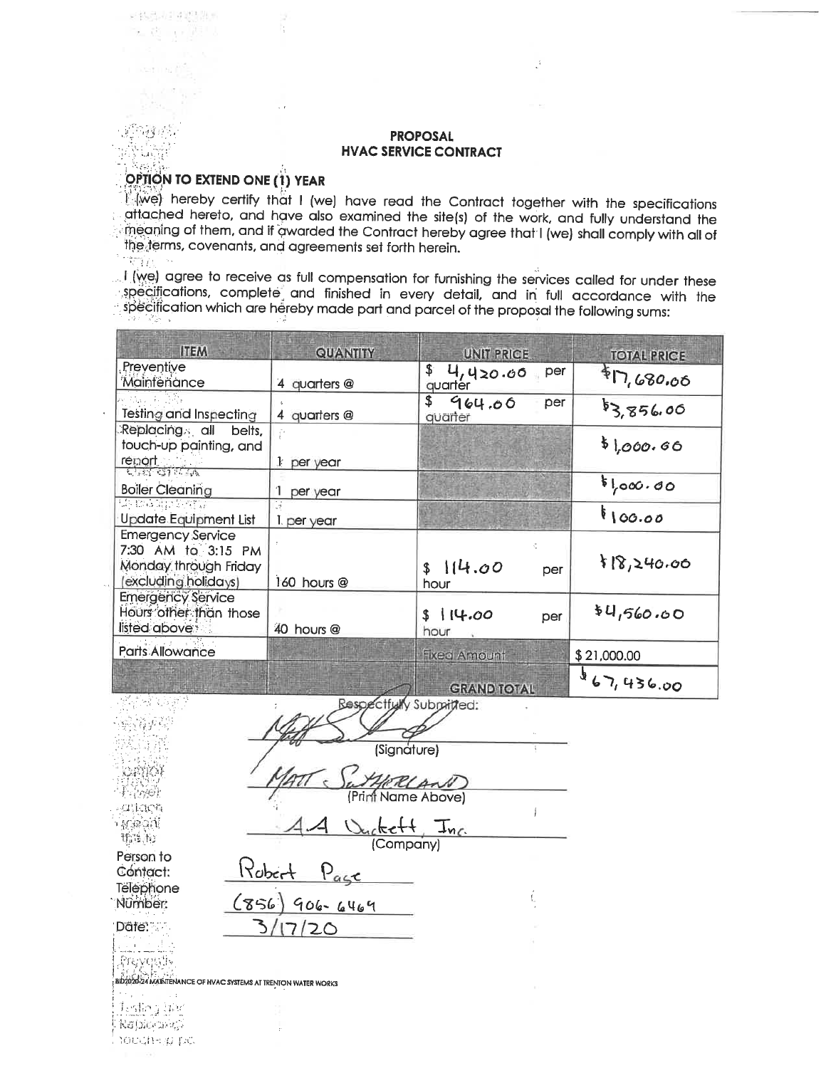# OPTION TO EXTEND ONE (1) YEAR

 $\ddot{\phantom{a}}$ 

V15522142230 医意示调节

海豹科

وتراملا Xes

we) hereby certify that I (we) have read the Contract together with the specifications attached hereto, and have also examined the site(s) of the work, and fully understand the the aning of them, and if awarded the Contract hereby agree that I (we) shall comply with all of the terms, covenants, and agreements set forth herein.  $\sim$   $\sim$ 

 $\mathbb{R}^1$  (we) agree to receive as full compensation for furnishing the services called for under these specifications, complete and finished in every detail, and in full accordance with the specification which are hereby made part and parcel of the proposal the following sums:

| <b>ITEM</b>                                                                                    | <b>QUANTITY</b>         | UNIT PRICE                       | <b>TOTAL PRICE</b> |
|------------------------------------------------------------------------------------------------|-------------------------|----------------------------------|--------------------|
| Preventive<br>Maintenance                                                                      | 4 quarters @            | \$<br>4,420.66<br>per<br>quarter | \$N,680.06         |
| <b>Testing and Inspecting</b>                                                                  | 4 quarters @            | \$<br>964.00<br>per<br>quarter   | \$3,856.00         |
| Replacing all<br>belts,<br>touch-up painting, and<br>report                                    | $1$ per year            |                                  | \$1,000.66         |
| <b>Boiler Cleaning</b>                                                                         | per year                |                                  | 5,000.00           |
| Siyasi Salah Secarat<br><b>Update Equipment List</b>                                           | 1 per year              |                                  | 8100.00            |
| <b>Emergency Service</b><br>7:30 AM to 3:15 PM<br>Monday through Friday<br>excluding holidays) | 160 hours @             | ÷.<br>\$114.00<br>per<br>hour    | 8,240.00           |
| <b>Emergency Service</b><br>Hours other than those<br>listed above                             | 40 hours @              | \$14.00<br>per<br>hour           | \$4,560.00         |
| <b>Parts Allowance</b>                                                                         |                         | <b>Fixed Amount</b>              | \$21,000.00        |
| 地名加拿大                                                                                          | Resnertfully Submitted. | <b>GRAND TOTAL</b>               | 867,436.00         |

|                      | uumncu.                             |  |
|----------------------|-------------------------------------|--|
|                      |                                     |  |
|                      | (Signature)                         |  |
|                      | ERLAN                               |  |
| <b>gatiaca</b>       | (Print Name Above)                  |  |
| ୍କୁ ଜର୍ମ<br>指定的      | Duckett<br>$I_{nc}$                 |  |
| Person to            | (Company)                           |  |
| Contact:             | Robert<br>Page                      |  |
| Telephone<br>Nümber: | $(856)$ 906-6469                    |  |
| Dâte:                |                                     |  |
|                      |                                     |  |
|                      |                                     |  |
|                      | HVAC SYSTEMS AT TRENTON WATER WORKS |  |
| すいしほうにん ふなんえ         |                                     |  |

<u>Lafog ter</u> Rajnochic, topgiterp pel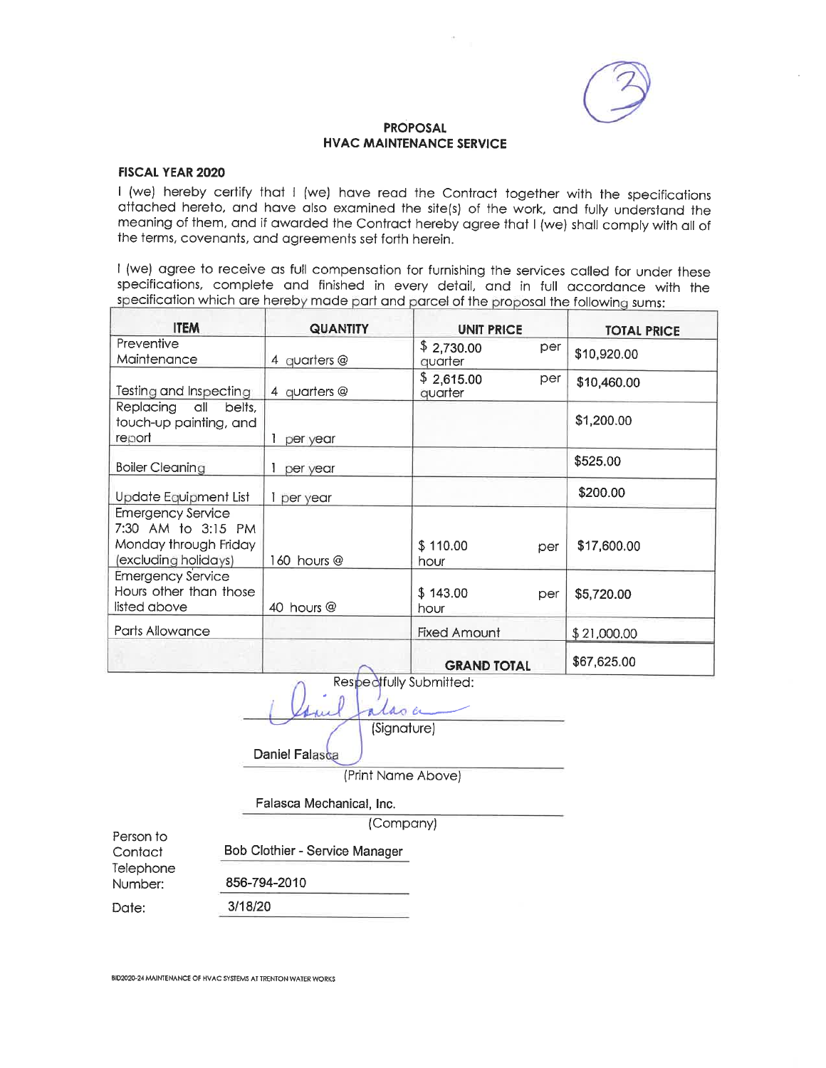

## **FISCAL YEAR 2020**

I (we) hereby certify that I (we) have read the Contract together with the specifications attached hereto, and have also examined the site(s) of the work, and fully understand the meaning of them, and if awarded the Contract hereby agree that I (we) shall comply with all of the terms, covenants, and agreements set forth herein.

I (we) agree to receive as full compensation for furnishing the services called for under these specifications, complete and finished in every detail, and in full accordance with the specification which are hereby made part and parcel of the proposal the following sums:

| <b>ITEM</b>                                                                                     | <b>QUANTITY</b> | <b>UNIT PRICE</b>     |     | <b>TOTAL PRICE</b> |
|-------------------------------------------------------------------------------------------------|-----------------|-----------------------|-----|--------------------|
| Preventive<br>Maintenance                                                                       | 4 quarters @    | \$2,730.00<br>quarter | per | \$10,920.00        |
| Testing and Inspecting                                                                          | 4 quarters $@$  | \$2,615.00<br>quarter | per | \$10,460.00        |
| Replacing all<br>belts.<br>touch-up painting, and<br>report                                     | per year        |                       |     | \$1,200.00         |
| <b>Boiler Cleaning</b>                                                                          | per year        |                       |     | \$525.00           |
| Update Equipment List                                                                           | per year        |                       |     | \$200.00           |
| <b>Emergency Service</b><br>7:30 AM to 3:15 PM<br>Monday through Friday<br>(excluding holidays) | 160 hours $@$   | \$110.00<br>hour.     | per | \$17,600.00        |
| <b>Emergency Service</b><br>Hours other than those<br>listed above                              | 40 hours @      | \$143.00<br>hour      | per | \$5,720.00         |
| Parts Allowance                                                                                 |                 | <b>Fixed Amount</b>   |     | \$21,000.00        |
|                                                                                                 |                 | <b>GRAND TOTAL</b>    |     | \$67,625.00        |

Respectfully Submitted: las er

(Signature)

Daniel Falasca

(Print Name Above)

Falasca Mechanical, Inc.

(Company)

Person to Contact Telephone

Bob Clothier - Service Manager

856-794-2010

3/18/20

Date:

Number:

BID2020-24 MAINTENANCE OF HVAC SYSTEMS AT TRENTON WATER WORKS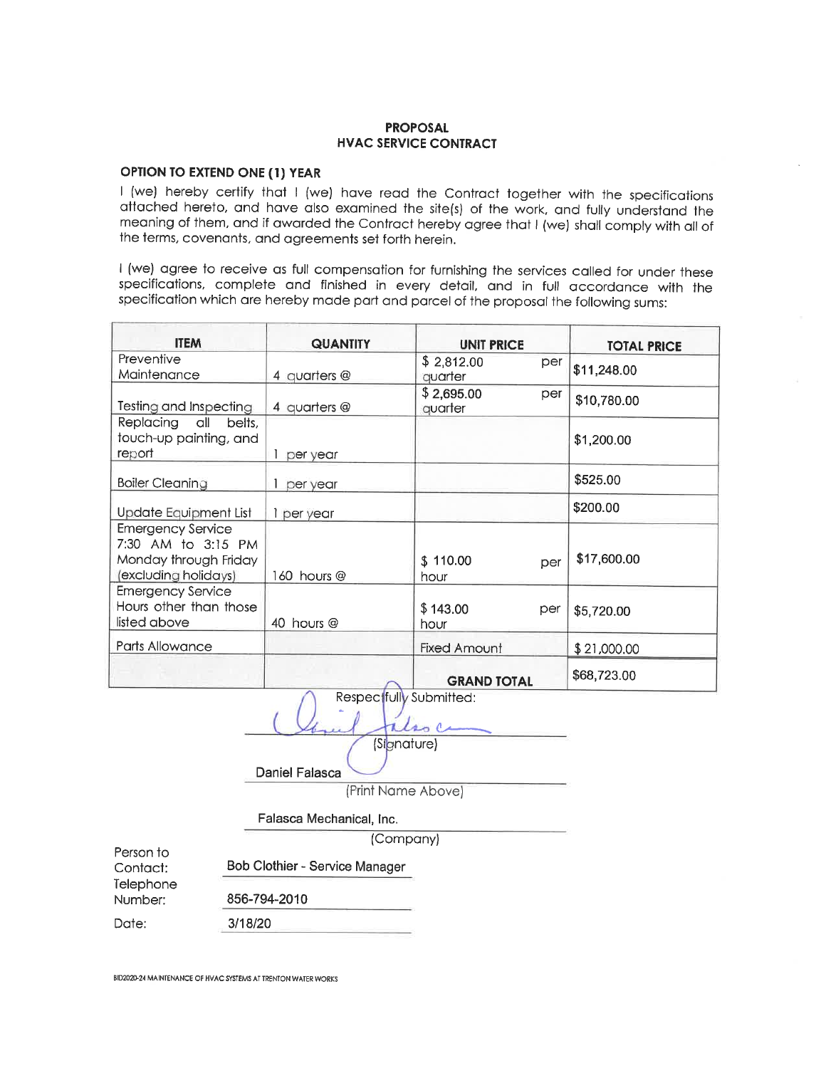# OPTION TO EXTEND ONE (1) YEAR

I (we) hereby certify that I (we) have read the Contract together with the specifications attached hereto, and have also examined the site(s) of the work, and fully understand the meaning of them, and if awarded the Contract hereby agree that I (we) shall comply with all of the terms, covenants, and agreements set forth herein.

I (we) agree to receive as full compensation for furnishing the services called for under these specifications, complete and finished in every detail, and in full accordance with the specification which are hereby made part and parcel of the proposal the following sums:

| <b>ITEM</b>                                                                                     | <b>QUANTITY</b> | <b>UNIT PRICE</b>     |     | <b>TOTAL PRICE</b> |
|-------------------------------------------------------------------------------------------------|-----------------|-----------------------|-----|--------------------|
| Preventive<br>Maintenance                                                                       | 4 quarters $@$  | \$2,812.00<br>auarter | per | \$11,248.00        |
| Testing and Inspecting                                                                          | 4 quarters @    | \$2,695.00<br>quarter | per | \$10,780.00        |
| Replacing all<br>belts,<br>touch-up painting, and<br>report                                     | per year        |                       |     | \$1,200.00         |
| <b>Boiler Cleaning</b>                                                                          | per year        |                       |     | \$525.00           |
| Update Equipment List                                                                           | 1 per year      |                       |     | \$200.00           |
| <b>Emergency Service</b><br>7:30 AM to 3:15 PM<br>Monday through Friday<br>(excluding holidays) | 160 hours @     | \$110.00<br>hour      | per | \$17,600.00        |
| <b>Emergency Service</b><br>Hours other than those<br>listed above                              | 40 hours @      | \$143.00<br>hour      | per | \$5,720.00         |
| Parts Allowance                                                                                 |                 | <b>Fixed Amount</b>   |     | \$21,000.00        |
|                                                                                                 |                 | <b>GRAND TOTAL</b>    |     | \$68,723.00        |

|              | VIVAITY IVIAL                  |
|--------------|--------------------------------|
|              | Respectfully Submitted:        |
|              |                                |
|              | (Signature)                    |
|              | Daniel Falasca                 |
|              | (Print Name Above)             |
|              | Falasca Mechanical, Inc.       |
|              | (Company)                      |
|              | Bob Clothier - Service Manager |
| 856-794-2010 |                                |
| 3/18/20      |                                |

BID2020-24 MAINTENANCE OF HVAC SYSTEMS AT TRENTON WATER WORKS

Person to Contact: Telephone Number: Date: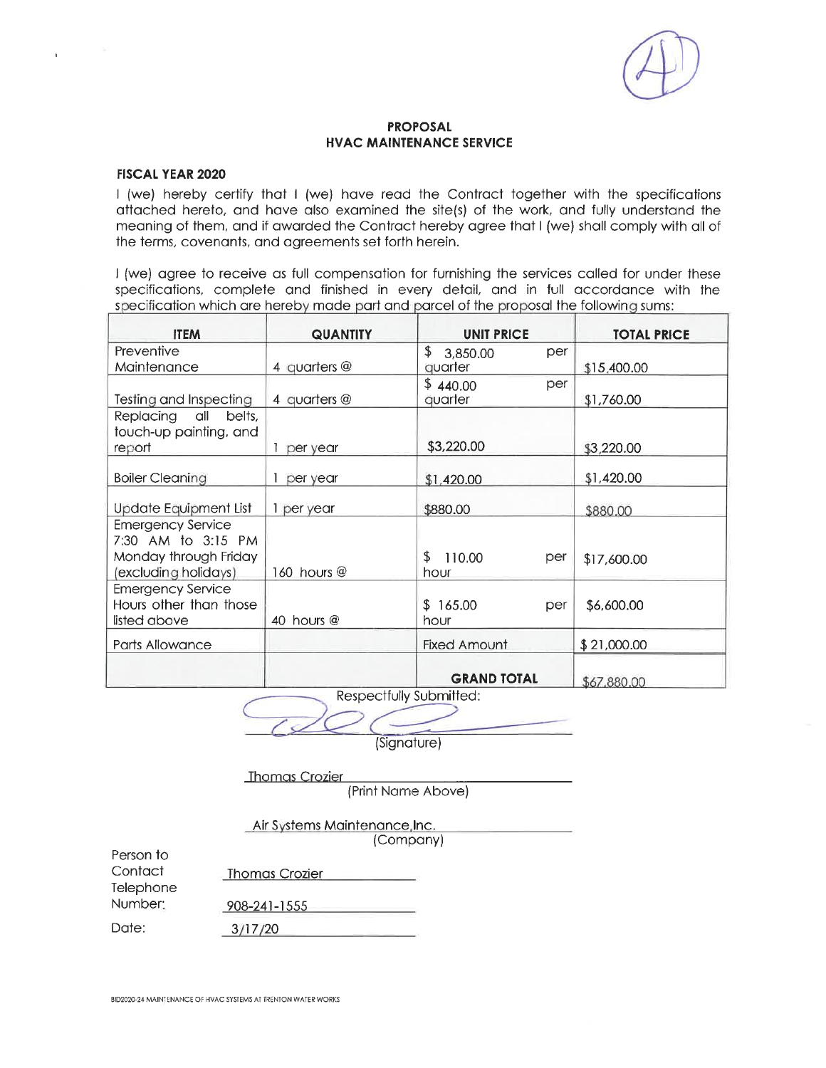

## **FISCAL YEAR 2020**

I (we) hereby certify that I (we) have read the Contract together with the specifications attached hereto, and have also examined the site(s) of the work, and fully understand the meaning of them, and if awarded the Contract hereby agree that I (we) shall comply with all of the terms, covenants, and agreements set forth herein.

I (we) agree to receive as full compensation for furnishing the services called for under these specifications, complete and finished in every detail, and in full accordance with the specification which are hereby made part and parcel of the proposal the following sums:

| <b>ITEM</b>                                                                                     | <b>QUANTITY</b> | <b>UNIT PRICE</b>           | <b>TOTAL PRICE</b> |
|-------------------------------------------------------------------------------------------------|-----------------|-----------------------------|--------------------|
| Preventive                                                                                      |                 | \$3,850.00<br>per           |                    |
| Maintenance                                                                                     | 4 quarters $@$  | quarter                     | \$15,400.00        |
| Testing and Inspecting                                                                          | 4 quarters $@$  | \$440.00<br>per<br>quarter  | \$1,760.00         |
| Replacing all<br>belts,<br>touch-up painting, and                                               |                 |                             |                    |
| report                                                                                          | per year        | \$3,220.00                  | \$3,220.00         |
| <b>Boiler Cleaning</b>                                                                          | per year        | \$1,420.00                  | \$1,420.00         |
| Update Equipment List                                                                           | 1 per year      | \$880.00                    | \$880.00           |
| <b>Emergency Service</b><br>7:30 AM to 3:15 PM<br>Monday through Friday<br>(excluding holidays) | 160 hours $@$   | \$<br>110.00<br>per<br>hour | \$17,600.00        |
| <b>Emergency Service</b><br>Hours other than those<br>listed above                              | 40 hours @      | \$165.00<br>per<br>hour     | \$6,600.00         |
| Parts Allowance                                                                                 |                 | <b>Fixed Amount</b>         | \$21,000.00        |
|                                                                                                 |                 | <b>GRAND TOTAL</b>          | \$67,880.00        |

Respectfully Submitted:

(Signature)

|          | Thomas Crozier                |  |
|----------|-------------------------------|--|
|          | (Print Name Above)            |  |
|          | Air Systems Maintenance, Inc. |  |
|          | (Company)                     |  |
| to<br>:t | <u>Thomas Crozier</u>         |  |

Contac Telephone Number:

Person

Date:

908-241-1555  $3/17/20$